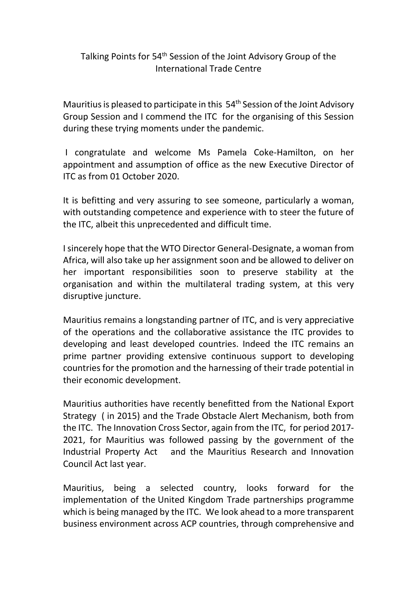## Talking Points for 54<sup>th</sup> Session of the Joint Advisory Group of the International Trade Centre

Mauritius is pleased to participate in this 54<sup>th</sup> Session of the Joint Advisory Group Session and I commend the ITC for the organising of this Session during these trying moments under the pandemic.

I congratulate and welcome Ms Pamela Coke-Hamilton, on her appointment and assumption of office as the new Executive Director of ITC as from 01 October 2020.

It is befitting and very assuring to see someone, particularly a woman, with outstanding competence and experience with to steer the future of the ITC, albeit this unprecedented and difficult time.

I sincerely hope that the WTO Director General-Designate, a woman from Africa, will also take up her assignment soon and be allowed to deliver on her important responsibilities soon to preserve stability at the organisation and within the multilateral trading system, at this very disruptive juncture.

Mauritius remains a longstanding partner of ITC, and is very appreciative of the operations and the collaborative assistance the ITC provides to developing and least developed countries. Indeed the ITC remains an prime partner providing extensive continuous support to developing countries for the promotion and the harnessing of their trade potential in their economic development.

Mauritius authorities have recently benefitted from the National Export Strategy ( in 2015) and the Trade Obstacle Alert Mechanism, both from the ITC. The Innovation Cross Sector, again from the ITC, for period 2017- 2021, for Mauritius was followed passing by the government of the Industrial Property Act and the Mauritius Research and Innovation Council Act last year.

Mauritius, being a selected country, looks forward for the implementation of the United Kingdom Trade partnerships programme which is being managed by the ITC. We look ahead to a more transparent business environment across ACP countries, through comprehensive and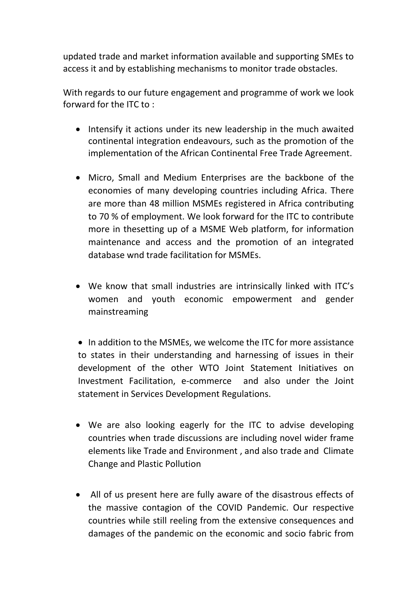updated trade and market information available and supporting SMEs to access it and by establishing mechanisms to monitor trade obstacles.

With regards to our future engagement and programme of work we look forward for the ITC to :

- Intensify it actions under its new leadership in the much awaited continental integration endeavours, such as the promotion of the implementation of the African Continental Free Trade Agreement.
- Micro, Small and Medium Enterprises are the backbone of the economies of many developing countries including Africa. There are more than 48 million MSMEs registered in Africa contributing to 70 % of employment. We look forward for the ITC to contribute more in thesetting up of a MSME Web platform, for information maintenance and access and the promotion of an integrated database wnd trade facilitation for MSMEs.
- We know that small industries are intrinsically linked with ITC's women and youth economic empowerment and gender mainstreaming

• In addition to the MSMEs, we welcome the ITC for more assistance to states in their understanding and harnessing of issues in their development of the other WTO Joint Statement Initiatives on Investment Facilitation, e-commerce and also under the Joint statement in Services Development Regulations.

- We are also looking eagerly for the ITC to advise developing countries when trade discussions are including novel wider frame elements like Trade and Environment , and also trade and Climate Change and Plastic Pollution
- All of us present here are fully aware of the disastrous effects of the massive contagion of the COVID Pandemic. Our respective countries while still reeling from the extensive consequences and damages of the pandemic on the economic and socio fabric from